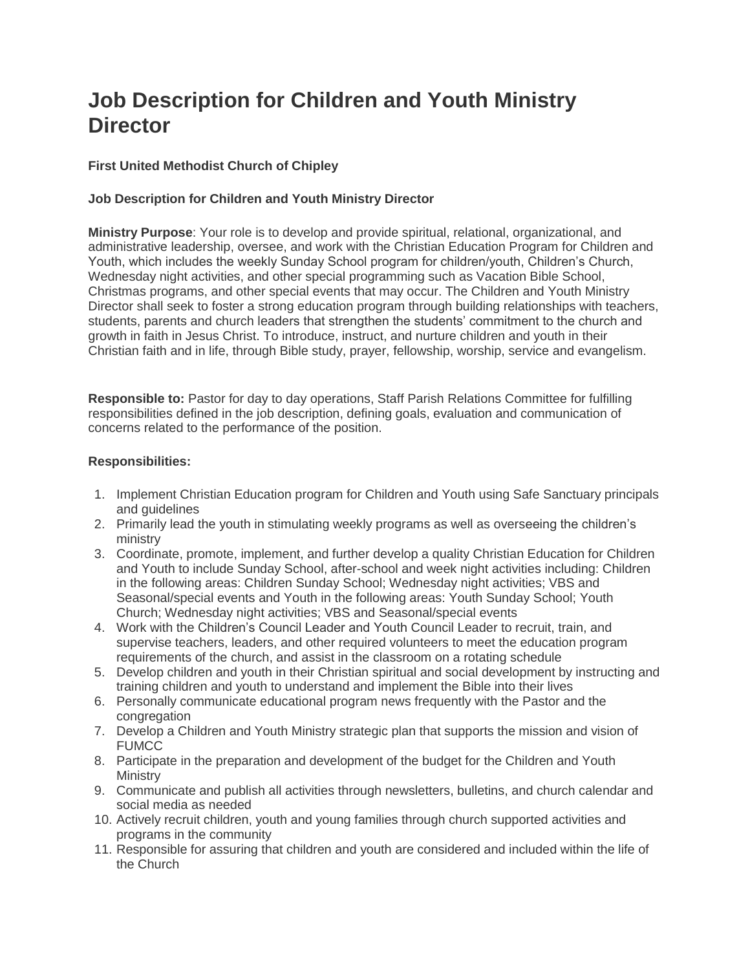# **Job Description for Children and Youth Ministry Director**

## **First United Methodist Church of Chipley**

# **Job Description for Children and Youth Ministry Director**

**Ministry Purpose**: Your role is to develop and provide spiritual, relational, organizational, and administrative leadership, oversee, and work with the Christian Education Program for Children and Youth, which includes the weekly Sunday School program for children/youth, Children's Church, Wednesday night activities, and other special programming such as Vacation Bible School, Christmas programs, and other special events that may occur. The Children and Youth Ministry Director shall seek to foster a strong education program through building relationships with teachers, students, parents and church leaders that strengthen the students' commitment to the church and growth in faith in Jesus Christ. To introduce, instruct, and nurture children and youth in their Christian faith and in life, through Bible study, prayer, fellowship, worship, service and evangelism.

**Responsible to:** Pastor for day to day operations, Staff Parish Relations Committee for fulfilling responsibilities defined in the job description, defining goals, evaluation and communication of concerns related to the performance of the position.

### **Responsibilities:**

- 1. Implement Christian Education program for Children and Youth using Safe Sanctuary principals and guidelines
- 2. Primarily lead the youth in stimulating weekly programs as well as overseeing the children's ministry
- 3. Coordinate, promote, implement, and further develop a quality Christian Education for Children and Youth to include Sunday School, after-school and week night activities including: Children in the following areas: Children Sunday School; Wednesday night activities; VBS and Seasonal/special events and Youth in the following areas: Youth Sunday School; Youth Church; Wednesday night activities; VBS and Seasonal/special events
- 4. Work with the Children's Council Leader and Youth Council Leader to recruit, train, and supervise teachers, leaders, and other required volunteers to meet the education program requirements of the church, and assist in the classroom on a rotating schedule
- 5. Develop children and youth in their Christian spiritual and social development by instructing and training children and youth to understand and implement the Bible into their lives
- 6. Personally communicate educational program news frequently with the Pastor and the congregation
- 7. Develop a Children and Youth Ministry strategic plan that supports the mission and vision of FUMCC
- 8. Participate in the preparation and development of the budget for the Children and Youth **Ministry**
- 9. Communicate and publish all activities through newsletters, bulletins, and church calendar and social media as needed
- 10. Actively recruit children, youth and young families through church supported activities and programs in the community
- 11. Responsible for assuring that children and youth are considered and included within the life of the Church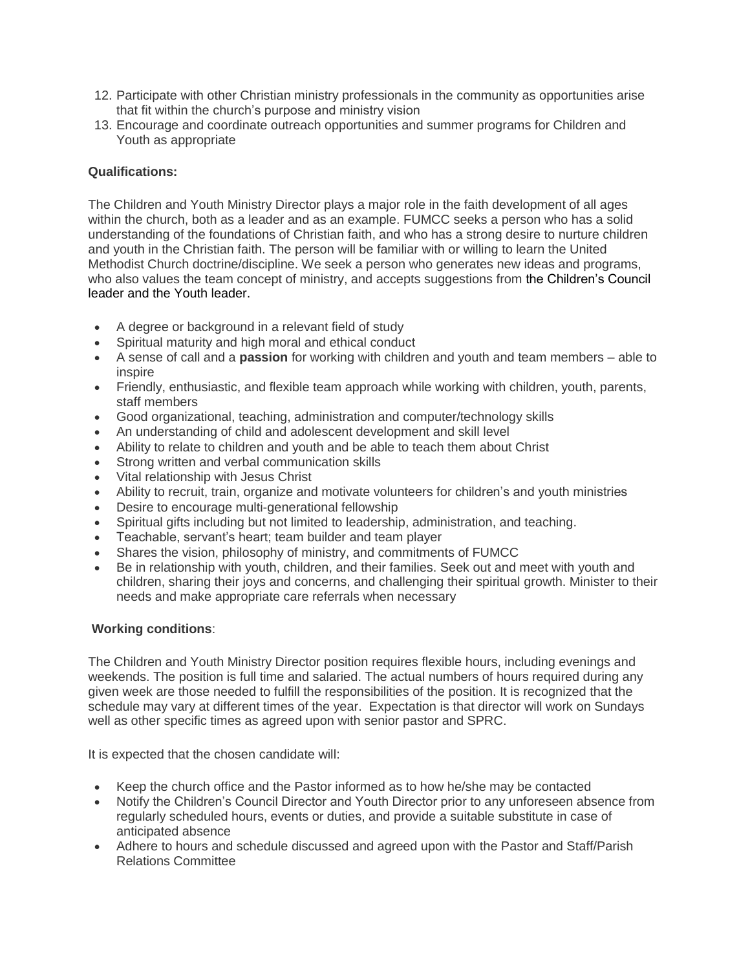- 12. Participate with other Christian ministry professionals in the community as opportunities arise that fit within the church's purpose and ministry vision
- 13. Encourage and coordinate outreach opportunities and summer programs for Children and Youth as appropriate

## **Qualifications:**

The Children and Youth Ministry Director plays a major role in the faith development of all ages within the church, both as a leader and as an example. FUMCC seeks a person who has a solid understanding of the foundations of Christian faith, and who has a strong desire to nurture children and youth in the Christian faith. The person will be familiar with or willing to learn the United Methodist Church doctrine/discipline. We seek a person who generates new ideas and programs, who also values the team concept of ministry, and accepts suggestions from the Children's Council leader and the Youth leader.

- A degree or background in a relevant field of study
- Spiritual maturity and high moral and ethical conduct
- A sense of call and a **passion** for working with children and youth and team members able to inspire
- Friendly, enthusiastic, and flexible team approach while working with children, youth, parents, staff members
- Good organizational, teaching, administration and computer/technology skills
- An understanding of child and adolescent development and skill level
- Ability to relate to children and youth and be able to teach them about Christ
- Strong written and verbal communication skills
- Vital relationship with Jesus Christ
- Ability to recruit, train, organize and motivate volunteers for children's and youth ministries
- Desire to encourage multi-generational fellowship
- Spiritual gifts including but not limited to leadership, administration, and teaching.
- Teachable, servant's heart; team builder and team player
- Shares the vision, philosophy of ministry, and commitments of FUMCC
- Be in relationship with youth, children, and their families. Seek out and meet with youth and children, sharing their joys and concerns, and challenging their spiritual growth. Minister to their needs and make appropriate care referrals when necessary

#### **Working conditions**:

The Children and Youth Ministry Director position requires flexible hours, including evenings and weekends. The position is full time and salaried. The actual numbers of hours required during any given week are those needed to fulfill the responsibilities of the position. It is recognized that the schedule may vary at different times of the year. Expectation is that director will work on Sundays well as other specific times as agreed upon with senior pastor and SPRC.

It is expected that the chosen candidate will:

- Keep the church office and the Pastor informed as to how he/she may be contacted
- Notify the Children's Council Director and Youth Director prior to any unforeseen absence from regularly scheduled hours, events or duties, and provide a suitable substitute in case of anticipated absence
- Adhere to hours and schedule discussed and agreed upon with the Pastor and Staff/Parish Relations Committee